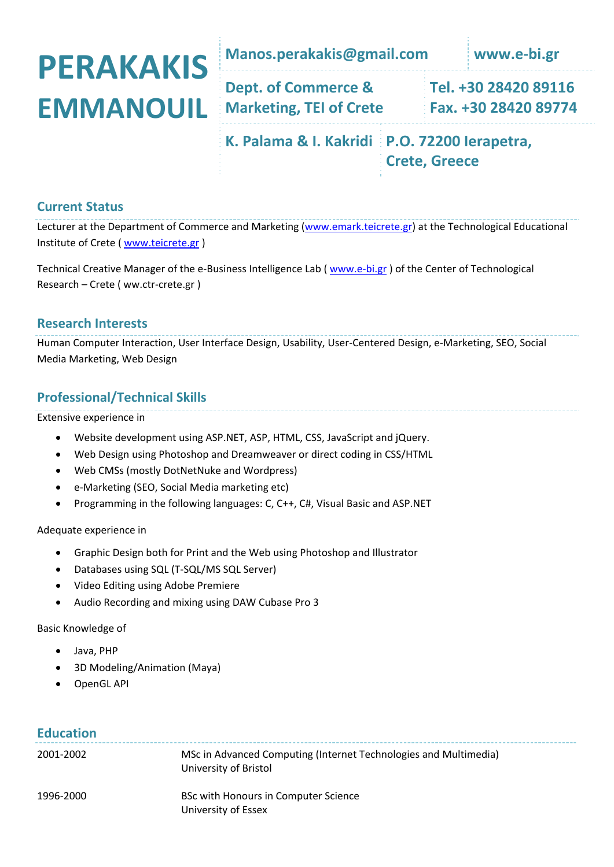#### **PERAKAKIS EMMANOUIL Manos.perakakis@gmail.com www.e‐bi.gr Dept. of Commerce & Marketing, TEI of Crete Tel. +30 28420 89116 Fax. +30 28420 89774**

**K. Palama & I. Kakridi P.O. 72200 Ierapetra, Crete, Greece**

### **Current Status**

Lecturer at the Department of Commerce and Marketing (www.emark.teicrete.gr) at the Technological Educational Institute of Crete ( www.teicrete.gr )

Technical Creative Manager of the e‐Business Intelligence Lab ( www.e‐bi.gr ) of the Center of Technological Research – Crete ( ww.ctr‐crete.gr )

#### **Research Interests**

Human Computer Interaction, User Interface Design, Usability, User‐Centered Design, e‐Marketing, SEO, Social Media Marketing, Web Design

### **Professional/Technical Skills**

Extensive experience in

- Website development using ASP.NET, ASP, HTML, CSS, JavaScript and jQuery.
- Web Design using Photoshop and Dreamweaver or direct coding in CSS/HTML
- Web CMSs (mostly DotNetNuke and Wordpress)
- e-Marketing (SEO, Social Media marketing etc)
- Programming in the following languages: C, C++, C#, Visual Basic and ASP.NET

Adequate experience in

- Graphic Design both for Print and the Web using Photoshop and Illustrator
- Databases using SQL (T‐SQL/MS SQL Server)
- Video Editing using Adobe Premiere
- Audio Recording and mixing using DAW Cubase Pro 3

Basic Knowledge of

- Java, PHP
- 3D Modeling/Animation (Maya)
- OpenGL API

## **Education**

| 2001-2002 | MSc in Advanced Computing (Internet Technologies and Multimedia)<br>University of Bristol |
|-----------|-------------------------------------------------------------------------------------------|
| 1996-2000 | BSc with Honours in Computer Science<br>University of Essex                               |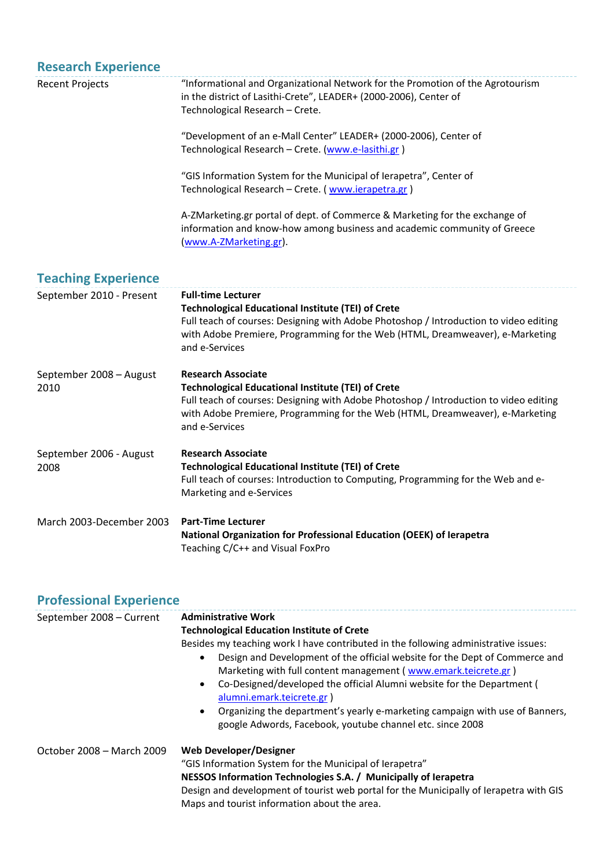| <b>Research Experience</b>                 |                                                                                                                                                                                                                                                                                    |
|--------------------------------------------|------------------------------------------------------------------------------------------------------------------------------------------------------------------------------------------------------------------------------------------------------------------------------------|
| <b>Recent Projects</b>                     | "Informational and Organizational Network for the Promotion of the Agrotourism<br>in the district of Lasithi-Crete", LEADER+ (2000-2006), Center of<br>Technological Research - Crete.                                                                                             |
|                                            |                                                                                                                                                                                                                                                                                    |
|                                            | "Development of an e-Mall Center" LEADER+ (2000-2006), Center of<br>Technological Research - Crete. (www.e-lasithi.gr)                                                                                                                                                             |
|                                            | "GIS Information System for the Municipal of Ierapetra", Center of<br>Technological Research - Crete. (www.ierapetra.gr)                                                                                                                                                           |
|                                            | A-ZMarketing.gr portal of dept. of Commerce & Marketing for the exchange of<br>information and know-how among business and academic community of Greece<br>(www.A-ZMarketing.gr).                                                                                                  |
| <b>Teaching Experience</b>                 |                                                                                                                                                                                                                                                                                    |
| September 2010 - Present                   | <b>Full-time Lecturer</b><br><b>Technological Educational Institute (TEI) of Crete</b><br>Full teach of courses: Designing with Adobe Photoshop / Introduction to video editing<br>with Adobe Premiere, Programming for the Web (HTML, Dreamweaver), e-Marketing<br>and e-Services |
| September 2008 - August<br>2010            | <b>Research Associate</b><br><b>Technological Educational Institute (TEI) of Crete</b><br>Full teach of courses: Designing with Adobe Photoshop / Introduction to video editing<br>with Adobe Premiere, Programming for the Web (HTML, Dreamweaver), e-Marketing<br>and e-Services |
| September 2006 - August                    | <b>Research Associate</b>                                                                                                                                                                                                                                                          |
| 2008                                       | <b>Technological Educational Institute (TEI) of Crete</b><br>Full teach of courses: Introduction to Computing, Programming for the Web and e-<br>Marketing and e-Services                                                                                                          |
| March 2003-December 2003                   | <b>Part-Time Lecturer</b><br>National Organization for Professional Education (OEEK) of Ierapetra<br>Teaching C/C++ and Visual FoxPro                                                                                                                                              |
| <b>Professional Experience</b>             |                                                                                                                                                                                                                                                                                    |
| Contambor 2000 Current Administrative Work |                                                                                                                                                                                                                                                                                    |

| September 2008 - Current  | <b>Administrative Work</b>                                                                                                                             |
|---------------------------|--------------------------------------------------------------------------------------------------------------------------------------------------------|
|                           | <b>Technological Education Institute of Crete</b>                                                                                                      |
|                           | Besides my teaching work I have contributed in the following administrative issues:                                                                    |
|                           | Design and Development of the official website for the Dept of Commerce and<br>Marketing with full content management (www.emark.teicrete.gr)          |
|                           | Co-Designed/developed the official Alumni website for the Department (<br>$\bullet$<br>alumni.emark.teicrete.gr)                                       |
|                           | Organizing the department's yearly e-marketing campaign with use of Banners,<br>$\bullet$<br>google Adwords, Facebook, youtube channel etc. since 2008 |
| October 2008 – March 2009 | <b>Web Developer/Designer</b>                                                                                                                          |
|                           | "GIS Information System for the Municipal of Ierapetra"                                                                                                |
|                           | NESSOS Information Technologies S.A. / Municipally of Ierapetra                                                                                        |
|                           | Design and development of tourist web portal for the Municipally of lerapetra with GIS                                                                 |
|                           | Maps and tourist information about the area.                                                                                                           |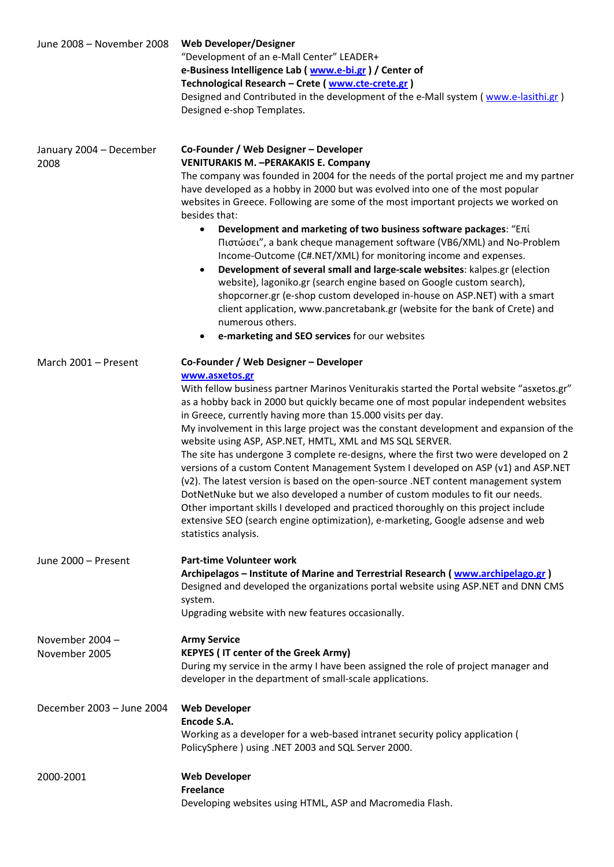| June 2008 - November 2008        | <b>Web Developer/Designer</b><br>"Development of an e-Mall Center" LEADER+<br>e-Business Intelligence Lab (www.e-bi.gr) / Center of<br>Technological Research - Crete (www.cte-crete.gr)<br>Designed and Contributed in the development of the e-Mall system (www.e-lasithi.gr)<br>Designed e-shop Templates.                                                                                                                                                                                                                                                                                                                                                                                                                                                                                                                                                                                                                                                                                                             |
|----------------------------------|---------------------------------------------------------------------------------------------------------------------------------------------------------------------------------------------------------------------------------------------------------------------------------------------------------------------------------------------------------------------------------------------------------------------------------------------------------------------------------------------------------------------------------------------------------------------------------------------------------------------------------------------------------------------------------------------------------------------------------------------------------------------------------------------------------------------------------------------------------------------------------------------------------------------------------------------------------------------------------------------------------------------------|
| January 2004 - December<br>2008  | Co-Founder / Web Designer - Developer<br><b>VENITURAKIS M. - PERAKAKIS E. Company</b><br>The company was founded in 2004 for the needs of the portal project me and my partner<br>have developed as a hobby in 2000 but was evolved into one of the most popular<br>websites in Greece. Following are some of the most important projects we worked on<br>besides that:<br>Development and marketing of two business software packages: "Επί<br>$\bullet$<br>Πιστώσει", a bank cheque management software (VB6/XML) and No-Problem<br>Income-Outcome (C#.NET/XML) for monitoring income and expenses.<br>Development of several small and large-scale websites: kalpes.gr (election<br>website), lagoniko.gr (search engine based on Google custom search),<br>shopcorner.gr (e-shop custom developed in-house on ASP.NET) with a smart<br>client application, www.pancretabank.gr (website for the bank of Crete) and<br>numerous others.<br>e-marketing and SEO services for our websites<br>$\bullet$                  |
| March 2001 - Present             | Co-Founder / Web Designer - Developer<br>www.asxetos.gr<br>With fellow business partner Marinos Veniturakis started the Portal website "asxetos.gr"<br>as a hobby back in 2000 but quickly became one of most popular independent websites<br>in Greece, currently having more than 15.000 visits per day.<br>My involvement in this large project was the constant development and expansion of the<br>website using ASP, ASP.NET, HMTL, XML and MS SQL SERVER.<br>The site has undergone 3 complete re-designs, where the first two were developed on 2<br>versions of a custom Content Management System I developed on ASP (v1) and ASP.NET<br>(v2). The latest version is based on the open-source .NET content management system<br>DotNetNuke but we also developed a number of custom modules to fit our needs.<br>Other important skills I developed and practiced thoroughly on this project include<br>extensive SEO (search engine optimization), e-marketing, Google adsense and web<br>statistics analysis. |
| June 2000 - Present              | <b>Part-time Volunteer work</b><br>Archipelagos - Institute of Marine and Terrestrial Research (www.archipelago.gr)<br>Designed and developed the organizations portal website using ASP.NET and DNN CMS<br>system.<br>Upgrading website with new features occasionally.                                                                                                                                                                                                                                                                                                                                                                                                                                                                                                                                                                                                                                                                                                                                                  |
| November 2004 -<br>November 2005 | <b>Army Service</b><br><b>KEPYES (IT center of the Greek Army)</b><br>During my service in the army I have been assigned the role of project manager and<br>developer in the department of small-scale applications.                                                                                                                                                                                                                                                                                                                                                                                                                                                                                                                                                                                                                                                                                                                                                                                                      |
| December 2003 - June 2004        | <b>Web Developer</b><br><b>Encode S.A.</b><br>Working as a developer for a web-based intranet security policy application (<br>PolicySphere ) using .NET 2003 and SQL Server 2000.                                                                                                                                                                                                                                                                                                                                                                                                                                                                                                                                                                                                                                                                                                                                                                                                                                        |
| 2000-2001                        | <b>Web Developer</b><br><b>Freelance</b><br>Developing websites using HTML, ASP and Macromedia Flash.                                                                                                                                                                                                                                                                                                                                                                                                                                                                                                                                                                                                                                                                                                                                                                                                                                                                                                                     |